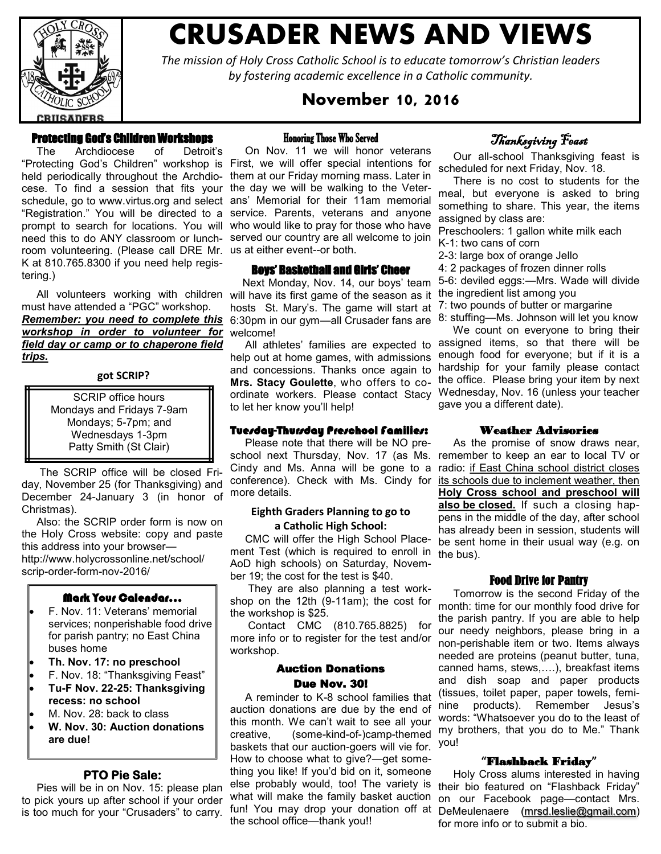

# **CRUSADER NEWS AND VIEWS**

*The mission of Holy Cross Catholic School is to educate tomorrow's Christian leaders by fostering academic excellence in a Catholic community.*

## **November 10, 2016**

## Protecting God's Children Workshops

 The Archdiocese of Detroit's "Protecting God's Children" workshop is First, we will offer special intentions for held periodically throughout the Archdiocese. To find a session that fits your the day we will be walking to the Veterschedule, go to [www.virtus.org a](http://www.virtus.org/)nd select ans' Memorial for their 11am memorial "Registration." You will be directed to a prompt to search for locations. You will who would like to pray for those who have need this to do ANY classroom or lunch-served our country are all welcome to join room volunteering. (Please call DRE Mr. us at either event--or both. K at 810.765.8300 if you need help registering.)

 All volunteers working with children will have its first game of the season as it must have attended a "PGC" workshop. *Remember: you need to complete this workshop in order to volunteer for field day or camp or to chaperone field trips.*

#### **got SCRIP?**

SCRIP office hours Mondays and Fridays 7-9am Mondays; 5-7pm; and Wednesdays 1-3pm Patty Smith (St Clair)

 The SCRIP office will be closed Friday, November 25 (for Thanksgiving) and December 24-January 3 (in honor of Christmas).

 Also: the SCRIP order form is now on the Holy Cross website: copy and paste this address into your browser http://www.holycrossonline.net/school/ scrip-order-form-nov-2016/

#### Mark Your Calendar…

- F. Nov. 11: Veterans' memorial services; nonperishable food drive for parish pantry; no East China buses home
- **Th. Nov. 17: no preschool**
- F. Nov. 18: "Thanksgiving Feast"
- **Tu-F Nov. 22-25: Thanksgiving recess: no school**
- M. Nov. 28: back to class
- **W. Nov. 30: Auction donations are due!**

#### **PTO Pie Sale:**

 Pies will be in on Nov. 15: please plan to pick yours up after school if your order is too much for your "Crusaders" to carry.

#### Honoring Those Who Served

 On Nov. 11 we will honor veterans them at our Friday morning mass. Later in service. Parents, veterans and anyone

#### Boys' Basketball and Girls' Cheer

 Next Monday, Nov. 14, our boys' team hosts St. Mary's. The game will start at 6:30pm in our gym—all Crusader fans are welcome!

help out at home games, with admissions and concessions. Thanks once again to **Mrs. Stacy Goulette**, who offers to coordinate workers. Please contact Stacy to let her know you'll help!

#### Tuesday-Thursday Preschool Families:

 Please note that there will be NO preschool next Thursday, Nov. 17 (as Ms. Cindy and Ms. Anna will be gone to a conference). Check with Ms. Cindy for more details.

#### **Eighth Graders Planning to go to a Catholic High School:**

 CMC will offer the High School Placement Test (which is required to enroll in AoD high schools) on Saturday, November 19; the cost for the test is \$40.

 They are also planning a test workshop on the 12th (9-11am); the cost for the workshop is \$25.

 Contact CMC (810.765.8825) for more info or to register for the test and/or workshop.

#### Auction Donations Due Nov. 30!

 A reminder to K-8 school families that auction donations are due by the end of this month. We can't wait to see all your creative, (some-kind-of-)camp-themed baskets that our auction-goers will vie for. you! How to choose what to give?—get something you like! If you'd bid on it, someone else probably would, too! The variety is what will make the family basket auction fun! You may drop your donation off at the school office—thank you!!

# Thanksgiving Feast

 Our all-school Thanksgiving feast is scheduled for next Friday, Nov. 18.

 There is no cost to students for the meal, but everyone is asked to bring something to share. This year, the items assigned by class are:

Preschoolers: 1 gallon white milk each K-1: two cans of corn

2-3: large box of orange Jello

4: 2 packages of frozen dinner rolls

- 5-6: deviled eggs:—Mrs. Wade will divide the ingredient list among you
- 7: two pounds of butter or margarine
- 8: stuffing—Ms. Johnson will let you know

All athletes' families are expected to assigned items, so that there will be We count on everyone to bring their enough food for everyone; but if it is a hardship for your family please contact the office. Please bring your item by next Wednesday, Nov. 16 (unless your teacher gave you a different date).

#### Weather Advisories

 As the promise of snow draws near, remember to keep an ear to local TV or radio: if East China school district closes its schools due to inclement weather, then **Holy Cross school and preschool will also be closed.** If such a closing happens in the middle of the day, after school has already been in session, students will be sent home in their usual way (e.g. on the bus).

#### Food Drive for Pantry

 Tomorrow is the second Friday of the month: time for our monthly food drive for the parish pantry. If you are able to help our needy neighbors, please bring in a non-perishable item or two. Items always needed are proteins (peanut butter, tuna, canned hams, stews,….), breakfast items and dish soap and paper products (tissues, toilet paper, paper towels, feminine products). Remember Jesus's words: "Whatsoever you do to the least of my brothers, that you do to Me." Thank

#### **"**Flashback Friday**"**

 Holy Cross alums interested in having their bio featured on "Flashback Friday" on our Facebook page—contact Mrs. DeMeulenaere ([mrsd.leslie@gmail.com\)](mailto:mrsd.leslie@gmail.com)  for more info or to submit a bio.